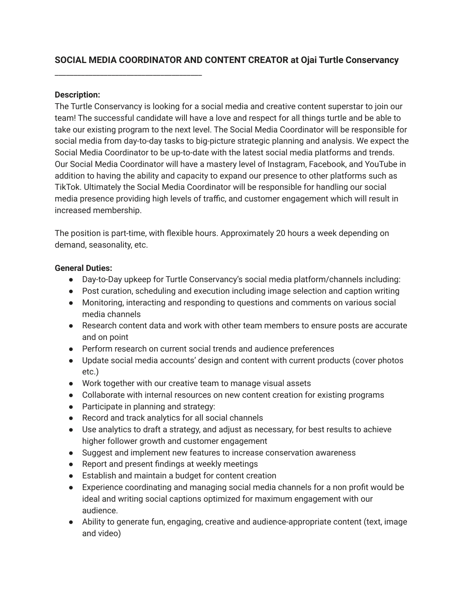# **SOCIAL MEDIA COORDINATOR AND CONTENT CREATOR at Ojai Turtle Conservancy**

## **Description:**

\_\_\_\_\_\_\_\_\_\_\_\_\_\_\_\_\_\_\_\_\_\_\_\_\_\_\_\_\_\_\_\_\_\_\_\_\_\_\_

The Turtle Conservancy is looking for a social media and creative content superstar to join our team! The successful candidate will have a love and respect for all things turtle and be able to take our existing program to the next level. The Social Media Coordinator will be responsible for social media from day-to-day tasks to big-picture strategic planning and analysis. We expect the Social Media Coordinator to be up-to-date with the latest social media platforms and trends. Our Social Media Coordinator will have a mastery level of Instagram, Facebook, and YouTube in addition to having the ability and capacity to expand our presence to other platforms such as TikTok. Ultimately the Social Media Coordinator will be responsible for handling our social media presence providing high levels of traffic, and customer engagement which will result in increased membership.

The position is part-time, with flexible hours. Approximately 20 hours a week depending on demand, seasonality, etc.

## **General Duties:**

- Day-to-Day upkeep for Turtle Conservancy's social media platform/channels including:
- Post curation, scheduling and execution including image selection and caption writing
- Monitoring, interacting and responding to questions and comments on various social media channels
- Research content data and work with other team members to ensure posts are accurate and on point
- Perform research on current social trends and audience preferences
- Update social media accounts' design and content with current products (cover photos etc.)
- Work together with our creative team to manage visual assets
- Collaborate with internal resources on new content creation for existing programs
- Participate in planning and strategy:
- Record and track analytics for all social channels
- Use analytics to draft a strategy, and adjust as necessary, for best results to achieve higher follower growth and customer engagement
- Suggest and implement new features to increase conservation awareness
- Report and present findings at weekly meetings
- Establish and maintain a budget for content creation
- Experience coordinating and managing social media channels for a non profit would be ideal and writing social captions optimized for maximum engagement with our audience.
- Ability to generate fun, engaging, creative and audience-appropriate content (text, image and video)